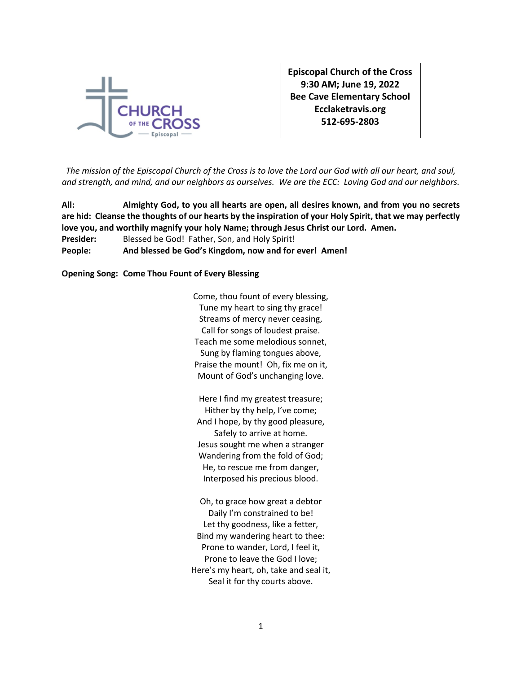

**Episcopal Church of the Cross 9:30 AM; June 19, 2022 Bee Cave Elementary School Ecclaketravis.org 512-695-2803**

*The mission of the Episcopal Church of the Cross is to love the Lord our God with all our heart, and soul, and strength, and mind, and our neighbors as ourselves. We are the ECC: Loving God and our neighbors.*

**All: Almighty God, to you all hearts are open, all desires known, and from you no secrets are hid: Cleanse the thoughts of our hearts by the inspiration of your Holy Spirit, that we may perfectly love you, and worthily magnify your holy Name; through Jesus Christ our Lord. Amen. Presider:** Blessed be God! Father, Son, and Holy Spirit! **People: And blessed be God's Kingdom, now and for ever! Amen!**

**Opening Song: Come Thou Fount of Every Blessing**

Come, thou fount of every blessing, Tune my heart to sing thy grace! Streams of mercy never ceasing, Call for songs of loudest praise. Teach me some melodious sonnet, Sung by flaming tongues above, Praise the mount! Oh, fix me on it, Mount of God's unchanging love.

Here I find my greatest treasure; Hither by thy help, I've come; And I hope, by thy good pleasure, Safely to arrive at home. Jesus sought me when a stranger Wandering from the fold of God; He, to rescue me from danger, Interposed his precious blood.

Oh, to grace how great a debtor Daily I'm constrained to be! Let thy goodness, like a fetter, Bind my wandering heart to thee: Prone to wander, Lord, I feel it, Prone to leave the God I love; Here's my heart, oh, take and seal it, Seal it for thy courts above.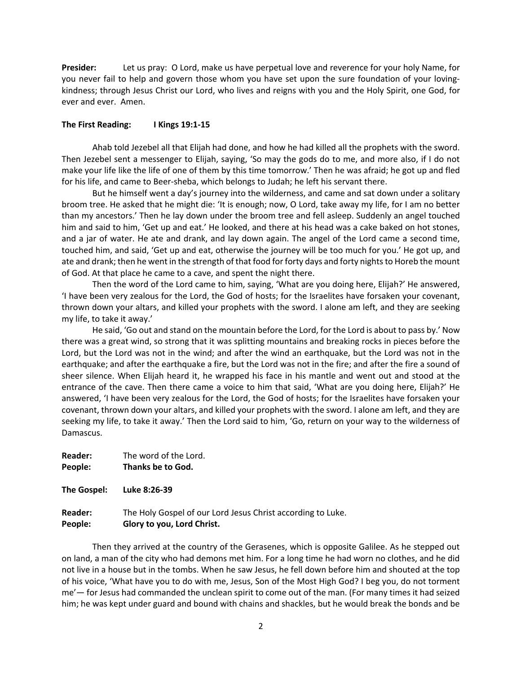**Presider:** Let us pray: O Lord, make us have perpetual love and reverence for your holy Name, for you never fail to help and govern those whom you have set upon the sure foundation of your lovingkindness; through Jesus Christ our Lord, who lives and reigns with you and the Holy Spirit, one God, for ever and ever. Amen.

#### **The First Reading: I Kings 19:1-15**

Ahab told Jezebel all that Elijah had done, and how he had killed all the prophets with the sword. Then Jezebel sent a messenger to Elijah, saying, 'So may the gods do to me, and more also, if I do not make your life like the life of one of them by this time tomorrow.' Then he was afraid; he got up and fled for his life, and came to Beer-sheba, which belongs to Judah; he left his servant there.

But he himself went a day's journey into the wilderness, and came and sat down under a solitary broom tree. He asked that he might die: 'It is enough; now, O Lord, take away my life, for I am no better than my ancestors.' Then he lay down under the broom tree and fell asleep. Suddenly an angel touched him and said to him, 'Get up and eat.' He looked, and there at his head was a cake baked on hot stones, and a jar of water. He ate and drank, and lay down again. The angel of the Lord came a second time, touched him, and said, 'Get up and eat, otherwise the journey will be too much for you.' He got up, and ate and drank; then he went in the strength of that food for forty days and forty nights to Horeb the mount of God. At that place he came to a cave, and spent the night there.

Then the word of the Lord came to him, saying, 'What are you doing here, Elijah?' He answered, 'I have been very zealous for the Lord, the God of hosts; for the Israelites have forsaken your covenant, thrown down your altars, and killed your prophets with the sword. I alone am left, and they are seeking my life, to take it away.'

He said, 'Go out and stand on the mountain before the Lord, for the Lord is about to pass by.' Now there was a great wind, so strong that it was splitting mountains and breaking rocks in pieces before the Lord, but the Lord was not in the wind; and after the wind an earthquake, but the Lord was not in the earthquake; and after the earthquake a fire, but the Lord was not in the fire; and after the fire a sound of sheer silence. When Elijah heard it, he wrapped his face in his mantle and went out and stood at the entrance of the cave. Then there came a voice to him that said, 'What are you doing here, Elijah?' He answered, 'I have been very zealous for the Lord, the God of hosts; for the Israelites have forsaken your covenant, thrown down your altars, and killed your prophets with the sword. I alone am left, and they are seeking my life, to take it away.' Then the Lord said to him, 'Go, return on your way to the wilderness of Damascus.

**Reader:** The word of the Lord. **People: Thanks be to God.**

**The Gospel: Luke 8:26-39**

# **Reader:** The Holy Gospel of our Lord Jesus Christ according to Luke. **People: Glory to you, Lord Christ.**

Then they arrived at the country of the Gerasenes, which is opposite Galilee. As he stepped out on land, a man of the city who had demons met him. For a long time he had worn no clothes, and he did not live in a house but in the tombs. When he saw Jesus, he fell down before him and shouted at the top of his voice, 'What have you to do with me, Jesus, Son of the Most High God? I beg you, do not torment me'— for Jesus had commanded the unclean spirit to come out of the man. (For many times it had seized him; he was kept under guard and bound with chains and shackles, but he would break the bonds and be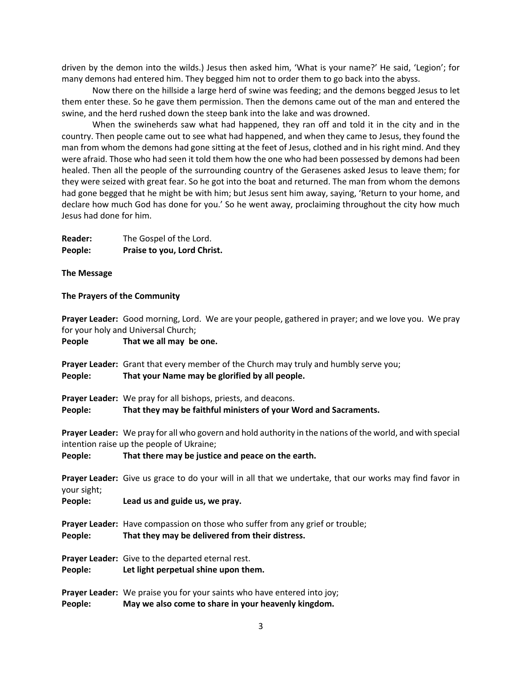driven by the demon into the wilds.) Jesus then asked him, 'What is your name?' He said, 'Legion'; for many demons had entered him. They begged him not to order them to go back into the abyss.

Now there on the hillside a large herd of swine was feeding; and the demons begged Jesus to let them enter these. So he gave them permission. Then the demons came out of the man and entered the swine, and the herd rushed down the steep bank into the lake and was drowned.

When the swineherds saw what had happened, they ran off and told it in the city and in the country. Then people came out to see what had happened, and when they came to Jesus, they found the man from whom the demons had gone sitting at the feet of Jesus, clothed and in his right mind. And they were afraid. Those who had seen it told them how the one who had been possessed by demons had been healed. Then all the people of the surrounding country of the Gerasenes asked Jesus to leave them; for they were seized with great fear. So he got into the boat and returned. The man from whom the demons had gone begged that he might be with him; but Jesus sent him away, saying, 'Return to your home, and declare how much God has done for you.' So he went away, proclaiming throughout the city how much Jesus had done for him.

| <b>Reader:</b> | The Gospel of the Lord.     |
|----------------|-----------------------------|
| People:        | Praise to you, Lord Christ. |

#### **The Message**

#### **The Prayers of the Community**

**Prayer Leader:** Good morning, Lord. We are your people, gathered in prayer; and we love you. We pray for your holy and Universal Church;

**People That we all may be one. Prayer Leader:** Grant that every member of the Church may truly and humbly serve you; **People: That your Name may be glorified by all people. Prayer Leader:** We pray for all bishops, priests, and deacons. **People: That they may be faithful ministers of your Word and Sacraments. Prayer Leader:** We pray for all who govern and hold authority in the nations of the world, and with special intention raise up the people of Ukraine; **People: That there may be justice and peace on the earth. Prayer Leader:** Give us grace to do your will in all that we undertake, that our works may find favor in your sight; **People: Lead us and guide us, we pray. Prayer Leader:** Have compassion on those who suffer from any grief or trouble; **People: That they may be delivered from their distress. Prayer Leader:** Give to the departed eternal rest. **People: Let light perpetual shine upon them. Prayer Leader:** We praise you for your saints who have entered into joy; **People: May we also come to share in your heavenly kingdom.**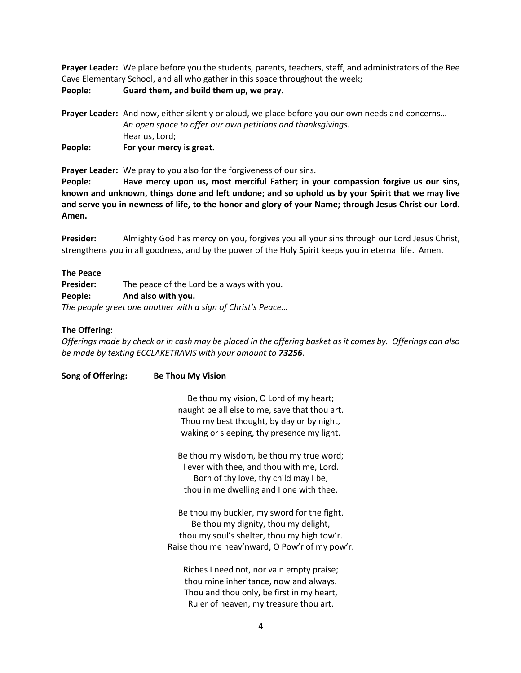**Prayer Leader:** We place before you the students, parents, teachers, staff, and administrators of the Bee Cave Elementary School, and all who gather in this space throughout the week;

**People: Guard them, and build them up, we pray.**

**Prayer Leader:** And now, either silently or aloud, we place before you our own needs and concerns… *An open space to offer our own petitions and thanksgivings.* Hear us, Lord; **People: For your mercy is great.**

**Prayer Leader:** We pray to you also for the forgiveness of our sins.

**People: Have mercy upon us, most merciful Father; in your compassion forgive us our sins, known and unknown, things done and left undone; and so uphold us by your Spirit that we may live and serve you in newness of life, to the honor and glory of your Name; through Jesus Christ our Lord. Amen.**

**Presider:** Almighty God has mercy on you, forgives you all your sins through our Lord Jesus Christ, strengthens you in all goodness, and by the power of the Holy Spirit keeps you in eternal life. Amen.

# **The Peace**

**Presider:** The peace of the Lord be always with you. **People: And also with you.** *The people greet one another with a sign of Christ's Peace…*

### **The Offering:**

*Offerings made by check or in cash may be placed in the offering basket as it comes by. Offerings can also be made by texting ECCLAKETRAVIS with your amount to 73256.*

**Song of Offering: Be Thou My Vision**

Be thou my vision, O Lord of my heart; naught be all else to me, save that thou art. Thou my best thought, by day or by night, waking or sleeping, thy presence my light.

Be thou my wisdom, be thou my true word; I ever with thee, and thou with me, Lord. Born of thy love, thy child may I be, thou in me dwelling and I one with thee.

Be thou my buckler, my sword for the fight. Be thou my dignity, thou my delight, thou my soul's shelter, thou my high tow'r. Raise thou me heav'nward, O Pow'r of my pow'r.

Riches I need not, nor vain empty praise; thou mine inheritance, now and always. Thou and thou only, be first in my heart, Ruler of heaven, my treasure thou art.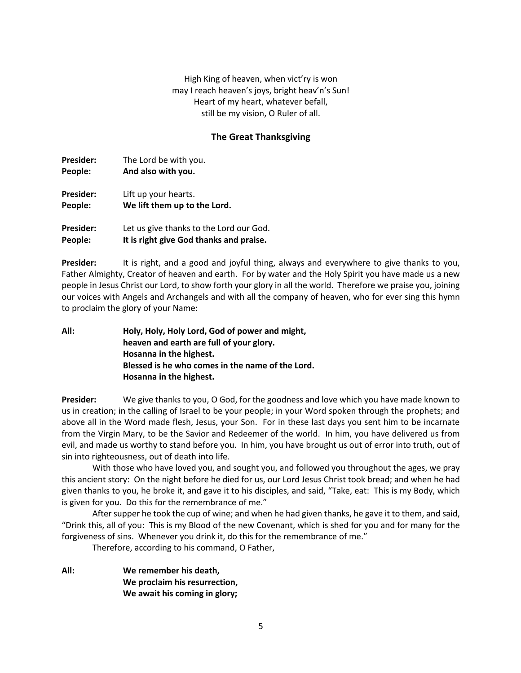High King of heaven, when vict'ry is won may I reach heaven's joys, bright heav'n's Sun! Heart of my heart, whatever befall, still be my vision, O Ruler of all.

# **The Great Thanksgiving**

| <b>Presider:</b> | The Lord be with you.                   |
|------------------|-----------------------------------------|
| People:          | And also with you.                      |
| <b>Presider:</b> | Lift up your hearts.                    |
| People:          | We lift them up to the Lord.            |
| <b>Presider:</b> | Let us give thanks to the Lord our God. |
| People:          | It is right give God thanks and praise. |

**Presider:** It is right, and a good and joyful thing, always and everywhere to give thanks to you, Father Almighty, Creator of heaven and earth. For by water and the Holy Spirit you have made us a new people in Jesus Christ our Lord, to show forth your glory in all the world. Therefore we praise you, joining our voices with Angels and Archangels and with all the company of heaven, who for ever sing this hymn to proclaim the glory of your Name:

**All: Holy, Holy, Holy Lord, God of power and might, heaven and earth are full of your glory. Hosanna in the highest. Blessed is he who comes in the name of the Lord. Hosanna in the highest.**

**Presider:** We give thanks to you, O God, for the goodness and love which you have made known to us in creation; in the calling of Israel to be your people; in your Word spoken through the prophets; and above all in the Word made flesh, Jesus, your Son. For in these last days you sent him to be incarnate from the Virgin Mary, to be the Savior and Redeemer of the world. In him, you have delivered us from evil, and made us worthy to stand before you. In him, you have brought us out of error into truth, out of sin into righteousness, out of death into life.

With those who have loved you, and sought you, and followed you throughout the ages, we pray this ancient story: On the night before he died for us, our Lord Jesus Christ took bread; and when he had given thanks to you, he broke it, and gave it to his disciples, and said, "Take, eat: This is my Body, which is given for you. Do this for the remembrance of me."

After supper he took the cup of wine; and when he had given thanks, he gave it to them, and said, "Drink this, all of you: This is my Blood of the new Covenant, which is shed for you and for many for the forgiveness of sins. Whenever you drink it, do this for the remembrance of me."

Therefore, according to his command, O Father,

**All: We remember his death, We proclaim his resurrection, We await his coming in glory;**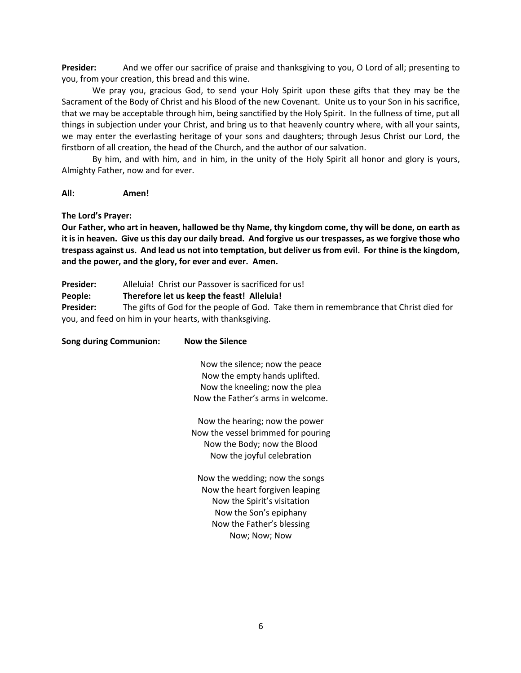**Presider:** And we offer our sacrifice of praise and thanksgiving to you, O Lord of all; presenting to you, from your creation, this bread and this wine.

We pray you, gracious God, to send your Holy Spirit upon these gifts that they may be the Sacrament of the Body of Christ and his Blood of the new Covenant. Unite us to your Son in his sacrifice, that we may be acceptable through him, being sanctified by the Holy Spirit. In the fullness of time, put all things in subjection under your Christ, and bring us to that heavenly country where, with all your saints, we may enter the everlasting heritage of your sons and daughters; through Jesus Christ our Lord, the firstborn of all creation, the head of the Church, and the author of our salvation.

By him, and with him, and in him, in the unity of the Holy Spirit all honor and glory is yours, Almighty Father, now and for ever.

### **All: Amen!**

### **The Lord's Prayer:**

**Our Father, who art in heaven, hallowed be thy Name, thy kingdom come, thy will be done, on earth as it is in heaven. Give us this day our daily bread. And forgive us our trespasses, as we forgive those who trespass against us. And lead us not into temptation, but deliver us from evil. For thine is the kingdom, and the power, and the glory, for ever and ever. Amen.**

**Presider:** Alleluia! Christ our Passover is sacrificed for us!

**People: Therefore let us keep the feast! Alleluia!**

**Presider:** The gifts of God for the people of God. Take them in remembrance that Christ died for you, and feed on him in your hearts, with thanksgiving.

| <b>Now the Silence</b>             |
|------------------------------------|
| Now the silence; now the peace     |
| Now the empty hands uplifted.      |
| Now the kneeling; now the plea     |
| Now the Father's arms in welcome.  |
| Now the hearing; now the power     |
| Now the vessel brimmed for pouring |
| Now the Body; now the Blood        |
| Now the joyful celebration         |
| Now the wedding; now the songs     |
| Now the heart forgiven leaping     |
| Now the Spirit's visitation        |
| Now the Son's epiphany             |
| Now the Father's blessing          |
| Now; Now; Now                      |
|                                    |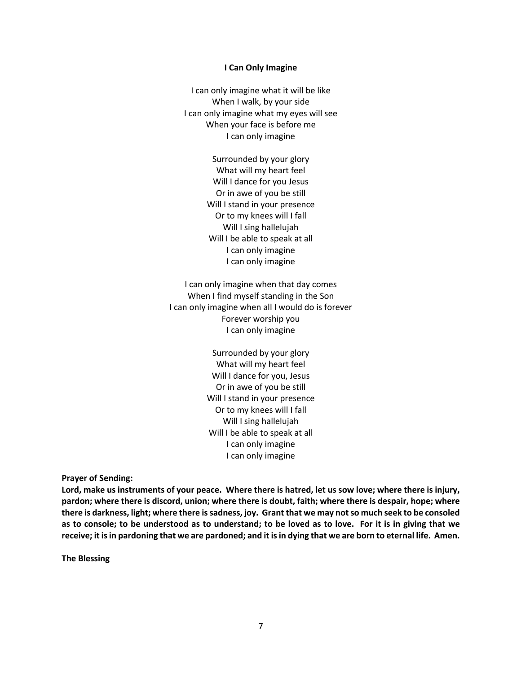#### **I Can Only Imagine**

I can only imagine what it will be like When I walk, by your side I can only imagine what my eyes will see When your face is before me I can only imagine

> Surrounded by your glory What will my heart feel Will I dance for you Jesus Or in awe of you be still Will I stand in your presence Or to my knees will I fall Will I sing hallelujah Will I be able to speak at all I can only imagine I can only imagine

I can only imagine when that day comes When I find myself standing in the Son I can only imagine when all I would do is forever Forever worship you I can only imagine

> Surrounded by your glory What will my heart feel Will I dance for you, Jesus Or in awe of you be still Will I stand in your presence Or to my knees will I fall Will I sing hallelujah Will I be able to speak at all I can only imagine I can only imagine

**Prayer of Sending:**

**Lord, make us instruments of your peace. Where there is hatred, let us sow love; where there is injury, pardon; where there is discord, union; where there is doubt, faith; where there is despair, hope; where there is darkness, light; where there is sadness, joy. Grant that we may not so much seek to be consoled as to console; to be understood as to understand; to be loved as to love. For it is in giving that we receive; it is in pardoning that we are pardoned; and it is in dying that we are born to eternal life. Amen.**

**The Blessing**